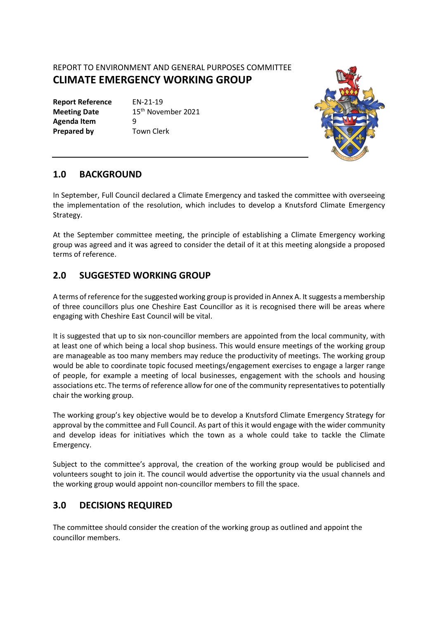REPORT TO ENVIRONMENT AND GENERAL PURPOSES COMMITTEE **CLIMATE EMERGENCY WORKING GROUP**

**Report Reference** EN-21-19 **Agenda Item** 9 **Prepared by Town Clerk** 

**Meeting Date** 15<sup>th</sup> November 2021



### **1.0 BACKGROUND**

In September, Full Council declared a Climate Emergency and tasked the committee with overseeing the implementation of the resolution, which includes to develop a Knutsford Climate Emergency Strategy.

At the September committee meeting, the principle of establishing a Climate Emergency working group was agreed and it was agreed to consider the detail of it at this meeting alongside a proposed terms of reference.

# **2.0 SUGGESTED WORKING GROUP**

A terms of reference for the suggested working group is provided in Annex A. It suggests a membership of three councillors plus one Cheshire East Councillor as it is recognised there will be areas where engaging with Cheshire East Council will be vital.

It is suggested that up to six non-councillor members are appointed from the local community, with at least one of which being a local shop business. This would ensure meetings of the working group are manageable as too many members may reduce the productivity of meetings. The working group would be able to coordinate topic focused meetings/engagement exercises to engage a larger range of people, for example a meeting of local businesses, engagement with the schools and housing associations etc. The terms of reference allow for one of the community representatives to potentially chair the working group.

The working group's key objective would be to develop a Knutsford Climate Emergency Strategy for approval by the committee and Full Council. As part of this it would engage with the wider community and develop ideas for initiatives which the town as a whole could take to tackle the Climate Emergency.

Subject to the committee's approval, the creation of the working group would be publicised and volunteers sought to join it. The council would advertise the opportunity via the usual channels and the working group would appoint non-councillor members to fill the space.

# **3.0 DECISIONS REQUIRED**

The committee should consider the creation of the working group as outlined and appoint the councillor members.